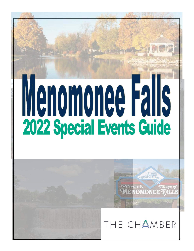# Menomonee Falls 2022 Special Events Guide

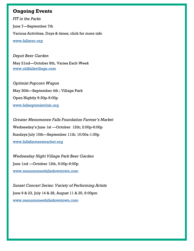### **Ongoing Events**

*FIT in the Parks*  June 7—September 7th Various Activities, Days & times; click for more info [www.fallsrec.org](https://www.fallsschools.org/divisions/community-education-recreation/fitp)

#### *Depot Beer Garden*

May 21nd—October 8th, Varies Each Week [www.oldfallsvillage.com](http://www.oldfallsvillage.com)

*Optimist Popcorn Wagon*  May 30th—September 4th ; Village Park Open Nightly 6:30p-9:00p [www.fallsoptimistclub.org](https://fallsoptimistclub.org/)

*Greater Menomonee Falls Foundation Farmer's Market* Wednesday's June 1st —October 12th; 2:00p-6:00p Sundays July 10th—September 11th; 10:00a-1:00p [www.fallsfarmersmarket.org](https://fallsfarmersmarket.org/)

*Wednesday Night Village Park Beer Garden*  June 1nd —October 12th, 5:00p-9:00p [www.menomoneefallsdowntown.com](http://www.menomoneefallsdowntown.com)

*Sunset Concert Series: Variety of Performing Artists*  June 9 & 23, July 14 & 28, August 11 & 25, 6:00pm [www.menomoneefallsdowntown.com](http://www.menomoneefallsdowntown.com)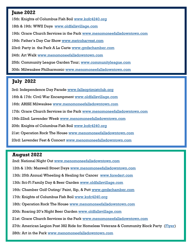# **June 2022**

15th: Knights of Columbus Fish Boil [www.kofc4240.org](https://business.gmfschamber.com/events/details/knights-of-columbus-fish-boil-3176?calendarMonth=2022-06-01) 18th & 19th: WWII Days [www.oldfallsvillage.com](http://www.oldfallsvillage.com/) 19th: Grace Church Services in the Park [www.menomoneefallsdowntown.com](http://www.menomoneefallsdowntown.com) 19th: Father's Day Car Show [www.metroharvest.com](https://www.metroharvest.com/) 23rd: Party in the Park A La Carte [www.gmfschamber.com](http://www.gmfschamber.com) 24th: Art Walk [www.menomoneefallsdowntown.com](http://www.menomoneefallsdowntown.com) 25th: Community League Garden Tour; [www.communityleague.com](https://www.communityleague.com/events-list) 30th: Milwaukee Philharmonic [www.menomoneefallsdowntown.com](http://www.menomoneefallsdowntown.com)

### **July 2022**

3rd: Independence Day Parade [www.fallsoptimistclub.org](https://fallsoptimistclub.org/) 16th & 17th: Civil War Encampment [www.oldfallsvillage.com](http://www.oldfallsvillage.com) 16th: ARISE Milwaukee [www.menomoneefallsdowntown.com](http://www.menomoneefallsdowntown.com) 17th: Grace Church Services in the Park [www.menomoneefallsdowntown.com](http://www.menomoneefallsdowntown.com) 19th-22nd: Lavender Week [www.menomoneefallsdowntown.com](http://www.menomoneefallsdowntown.com) 20th: Knights of Columbus Fish Boil [www.kofc4240.org](https://business.gmfschamber.com/events/details/knights-of-columbus-fish-boil-3176?calendarMonth=2022-06-01) 21st: Operation Rock The House [www.menomoneefallsdowntown.com](http://www.menomoneefallsdowntown.com) 23rd: Lavender Fest & Concert [www.menomoneefallsdowntown.com](http://www.menomoneefallsdowntown.com)

#### **August 2022**

2nd: National Night Out [www.menomoneefallsdowntown.com](http://www.menomoneefallsdowntown.com)

12th & 13th: Maxwell Street Days [www.menomoneefallsdowntown.com](http://www.menomoneefallsdowntown.com)

13th: 25th Annual Wheeling & Healing for Cancer [www.foredert.com](http://events.froedtert.com/site/TR/BikeRide/General?pg=entry&fr_id=1080)

13th: Sci-Fi Family Day & Beer Garden [www.oldfallsvillage.com](http://www.oldfallsvillage.com)

16th: Chamber Golf Outing/ Paint, Sip, & Putt [www.gmfschamber.com](http://www.gmfschamber.com)

17th: Knights of Columbus Fish Boil [www.kofc4240.org](https://business.gmfschamber.com/events/details/knights-of-columbus-fish-boil-3176?calendarMonth=2022-06-01)

18th: Operation Rock The House [www.menomoneefallsdowntown.com](http://www.menomoneefallsdowntown.com)

20th: Roaring 20's Night Beer Garden [www.oldfallsvillage.com](http://www.oldfallsvillage.com)

21st: Grace Church Services in the Park [www.menomoneefallsdowntown.com](http://www.menomoneefallsdowntown.com)

27th: American Legion Post 382 Ride for Homeless Veterans & Community Block Party (*Flyer*)

28th: Art in the Park [www.menomoneefallsdowntown.com](http://www.menomoneefallsdowntown.com)